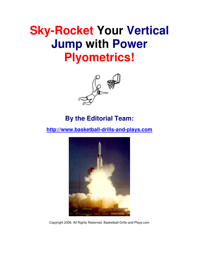# **Sky-Rocket Your Vertical Jump with Power Plyometrics!**



### **By the Editorial Team:**

**http://www.basketball-drills-and-plays.com**



Copyright 2006. All Rights Reserved. Basketball-Drills-and-Plays.com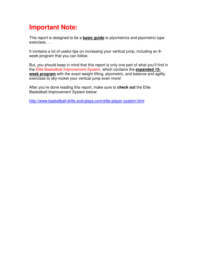# **Important Note:**

This report is designed to be a **basic guide** to plyometrics and plyometric-type exercises. . .

It contains a lot of useful tips on increasing your vertical jump, including an 8 week program that you can follow.

But, you should keep in mind that this report is only one part of what you'll find in the Elite Basketball Improvement System, which contains the **expanded 15 week program** with the exact weight lifting, plyometric, and balance and agility exercises to sky-rocket your vertical jump even more!

After you're done reading this report, make sure to **check out** the Elite Basketball Improvement System below:

http://www.basketball-drills-and-plays.com/elite-player-system.html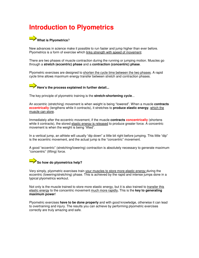# **Introduction to Plyometrics**



New advances in science make it possible to run faster and jump higher than ever before. Plyometrics is a form of exercise which links strength with speed of movement.

There are two phases of muscle contraction during the running or jumping motion. Muscles go through a **stretch (eccentric) phase** and a **contraction (concentric) phase**.

Plyometric exercises are designed to shorten the cycle time between the two phases. A rapid cycle time allows maximum energy transfer between stretch and contraction phases.



The key principle of plyometric training is the **stretch-shortening cycle**...

An eccentric (stretching) movement is when weight is being "lowered". When a muscle **contracts eccentrically** (lengthens while it contracts), it stretches to **produce elastic energy**, which the muscle can store.

Immediately after the eccentric movement, if the muscle **contracts concentrically** (shortens while it contracts), the stored elastic energy is released to produce greater force. A concentric movement is when the weight is being "lifted".

In a vertical jump, an athlete will usually "dip down" a little bit right before jumping. This little "dip" is the eccentric movement, and the actual jump is the "concentric" movement.

A good "eccentric" (stretching/lowering) contraction is absolutely necessary to generate maximum "concentric" (lifting) force.

### **So how do plyometrics help?**

Very simply, plyometric exercises train your muscles to store more elastic energy during the eccentric (lowering/stretching) phase. This is achieved by the rapid and intense jumps done in a typical plyometrics workout.

Not only is the muscle trained to store more elastic energy, but it is also trained to transfer this elastic energy to the concentric movement much more rapidly**.** This is the **key to generating maximum power**!

Plyometric exercises **have to be done properly** and with good knowledge, otherwise it can lead to overtraining and injury. The results you can achieve by performing plyometric exercises correctly are truly amazing and safe.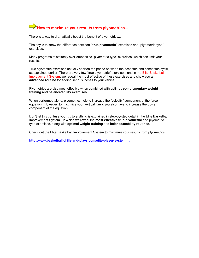# **How to maximize your results from plyometrics...**

There is a way to dramatically boost the benefit of plyometrics...

The key is to know the difference between **"true plyometric"** exercises and "plyometric-type" exercises.

Many programs mistakenly over-emphasize "plyometric-type" exercises, which can limit your results.

True plyometric exercises actually shorten the phase between the eccentric and concentric cycle, as explained earlier. There are very few "true plyometric" exercises, and in the Elite Basketball Improvement System, we reveal the most effective of these exercises and show you an **advanced routine** for adding serious inches to your vertical.

Plyometrics are also most effective when combined with optimal, **complementary weight training and balance/agility exercises**.

When performed alone, plyometrics help to increase the "velocity" component of the force equation . However, to maximize your vertical jump, you also have to increase the power component of the equation.

Don't let this confuse you . . . Everything is explained in step-by-step detail in the Elite Basketball Improvement System , in which we reveal the **most effective true-plyometric** and plyometrictype exercises, along with **optimal weight training** and **balance/stability routines**.

Check out the Elite Basketball Improvement System to maximize your results from plyometrics:

**http://www.basketball-drills-and-plays.com/elite-player-system.html**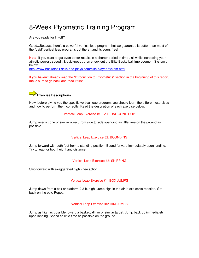# 8-Week Plyometric Training Program

Are you ready for lift-off?

Good...Because here's a powerful vertical leap program that we guarantee is better than most of the "paid" vertical leap programs out there...and its yours free!

**Note**: If you want to get even better results in a shorter period of time , all while increasing your athletic power , speed , & quickness , then check out the Elite Basketball Improvement System , below:

http://www.basketball-drills-and-plays.com/elite-player-system.html

If you haven't already read the "Introduction to Plyometrics" section in the beginning of this report, make sure to go back and read it first!

### **Exercise Descriptions**

Now, before giving you the specific vertical leap program, you should learn the different exercises and how to perform them correctly. Read the description of each exercise below:

#### Vertical Leap Exercise #1: LATERAL CONE HOP

Jump over a cone or similar object from side to side spending as little time on the ground as possible.

#### Vertical Leap Exercise #2: BOUNDING

Jump forward with both feet from a standing position. Bound forward immediately upon landing. Try to leap for both height and distance.

#### Vertical Leap Exercise #3: SKIPPING

Skip forward with exaggerated high knee action.

#### Vertical Leap Exercise #4: BOX JUMPS

Jump down from a box or platform 2-3 ft. high. Jump high in the air in explosive reaction. Get back on the box. Repeat.

#### Vertical Leap Exercise #5: RIM JUMPS

Jump as high as possible toward a basketball rim or similar target. Jump back up immediately upon landing. Spend as little time as possible on the ground.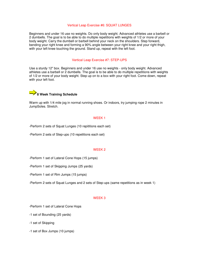#### Vertical Leap Exercise #6: SQUAT LUNGES

Beginners and under 16 use no weights. Do only body weight. Advanced athletes use a barbell or 2 dumbells. The goal is to be able to do multiple repetitions with weights of 1/2 or more of your body weight. Carry the dumbell or barbell behind your neck on the shoulders. Step forward, bending your right knee and forming a 90% angle between your right knee and your right thigh, with your left knee touching the ground. Stand up, repeat with the left foot.

#### Vertical Leap Exercise #7: STEP-UPS

Use a sturdy 12" box. Beginners and under 16 use no weights - only body weight. Advanced athletes use a barbell or 2 dumbells. The goal is to be able to do multiple repetitions with weights of 1/2 or more of your body weight. Step up on to a box with your right foot. Come down, repeat with your left foot.

### **8 Week Training Schedule**

Warm up with 1/4 mile jog in normal running shoes. Or indoors, try jumping rope 2 minutes in JumpSoles. Stretch.

#### WEEK 1

-Perform 2 sets of Squat Lunges (10 repititions each set)

-Perform 2 sets of Step-ups (10 repetitions each set)

#### WEEK 2

-Perform 1 set of Lateral Cone Hops (15 jumps)

-Perform 1 set of Skipping Jumps (25 yards)

-Perform 1 set of Rim Jumps (15 jumps)

-Perform 2 sets of Squat Lunges and 2 sets of Step-ups (same repetitions as in week 1)

#### WEEK 3

-Perform 1 set of Lateral Cone Hops

-1 set of Bounding (25 yards)

-1 set of Skipping

-1 set of Box Jumps (10 jumps)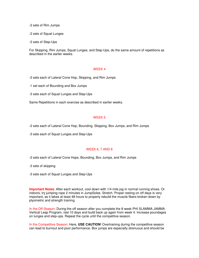-2 sets of Rim Jumps

-2 sets of Squat Lunges

-2 sets of Step-Ups

For Skipping, Rim Jumps, Squat Lunges, and Step-Ups, do the same amount of repetitions as described in the earlier weeks.

#### WEEK 4

-2 sets each of Lateral Cone Hop, Skipping, and Rim Jumps

-1 set each of Bounding and Box Jumps

-3 sets each of Squat Lunges and Step-Ups

Same Repetitions in each exercise as described in earlier weeks.

#### WEEK 5

-2 sets each of Lateral Cone Hop, Bounding, Skipping, Box Jumps, and Rim Jumps

-3 sets each of Squat Lunges and Step-Ups

#### WEEK 6, 7 AND 8

-2 sets each of Lateral Cone Hops, Bounding, Box Jumps, and Rim Jumps

-3 sets of skipping

-3 sets each of Squat Lunges and Step-Ups

**Important Notes**: After each workout, cool down with 1/4 mile jog in normal running shoes. Or indoors, try jumping rope 2 minutes in JumpSoles. Stretch. Proper resting on off days is very important, as it takes at least 48 hours to properly rebuild the muscle fibers broken down by plyometric and strength training.

In the Off-Season: During the off season after you complete the 8 week PHI SLAMMA JAMMA Vertical Leap Program, rest 10 days and build back up again from week 4. Increase poundages on lunges and step-ups. Repeat the cycle until the competitive season.

In the Competitive Season: Here, **USE CAUTION**! Overtraining during the competitive season can lead to burnout and poor performance. Box jumps are especially strenuous and should be